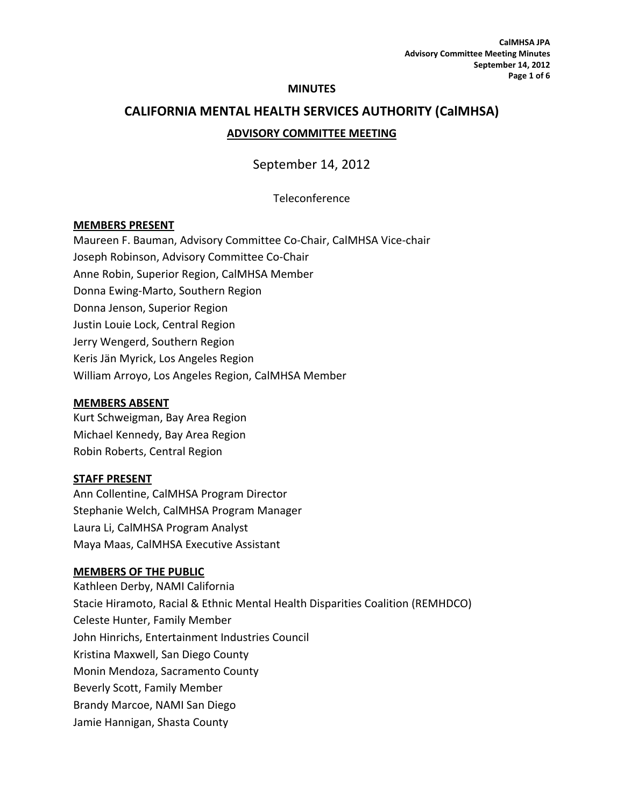#### **MINUTES**

# **CALIFORNIA MENTAL HEALTH SERVICES AUTHORITY (CalMHSA) ADVISORY COMMITTEE MEETING**

# September 14, 2012

# Teleconference

#### **MEMBERS PRESENT**

Maureen F. Bauman, Advisory Committee Co‐Chair, CalMHSA Vice‐chair Joseph Robinson, Advisory Committee Co‐Chair Anne Robin, Superior Region, CalMHSA Member Donna Ewing‐Marto, Southern Region Donna Jenson, Superior Region Justin Louie Lock, Central Region Jerry Wengerd, Southern Region Keris Jän Myrick, Los Angeles Region William Arroyo, Los Angeles Region, CalMHSA Member

#### **MEMBERS ABSENT**

Kurt Schweigman, Bay Area Region Michael Kennedy, Bay Area Region Robin Roberts, Central Region

#### **STAFF PRESENT**

Ann Collentine, CalMHSA Program Director Stephanie Welch, CalMHSA Program Manager Laura Li, CalMHSA Program Analyst Maya Maas, CalMHSA Executive Assistant

#### **MEMBERS OF THE PUBLIC**

Kathleen Derby, NAMI California Stacie Hiramoto, Racial & Ethnic Mental Health Disparities Coalition (REMHDCO) Celeste Hunter, Family Member John Hinrichs, Entertainment Industries Council Kristina Maxwell, San Diego County Monin Mendoza, Sacramento County Beverly Scott, Family Member Brandy Marcoe, NAMI San Diego Jamie Hannigan, Shasta County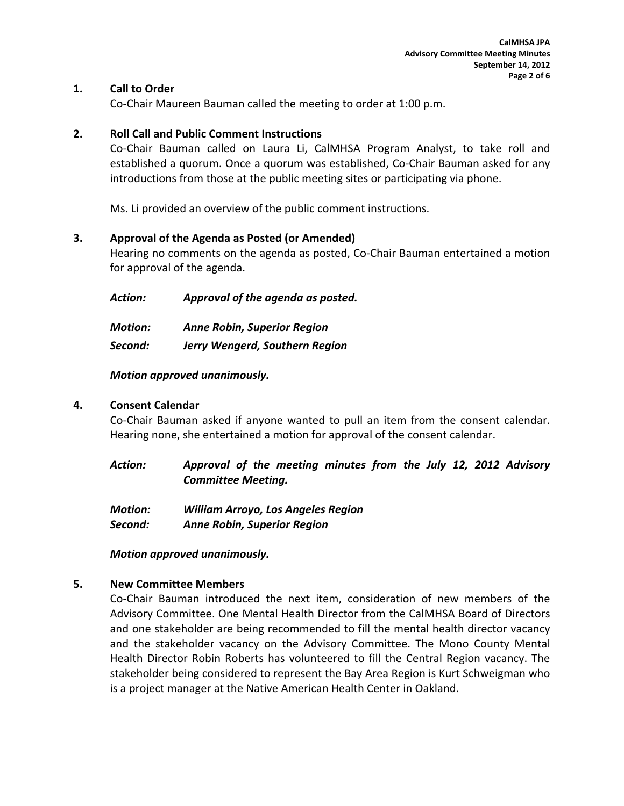# **1. Call to Order**

Co‐Chair Maureen Bauman called the meeting to order at 1:00 p.m.

# **2. Roll Call and Public Comment Instructions**

Co‐Chair Bauman called on Laura Li, CalMHSA Program Analyst, to take roll and established a quorum. Once a quorum was established, Co‐Chair Bauman asked for any introductions from those at the public meeting sites or participating via phone.

Ms. Li provided an overview of the public comment instructions.

# **3. Approval of the Agenda as Posted (or Amended)**

Hearing no comments on the agenda as posted, Co‐Chair Bauman entertained a motion for approval of the agenda.

*Action: Approval of the agenda as posted.*

*Motion: Anne Robin, Superior Region*

*Second: Jerry Wengerd, Southern Region* 

# *Motion approved unanimously.*

# **4. Consent Calendar**

Co‐Chair Bauman asked if anyone wanted to pull an item from the consent calendar. Hearing none, she entertained a motion for approval of the consent calendar.

| Action: | Approval of the meeting minutes from the July 12, 2012 Advisory |  |  |  |  |  |
|---------|-----------------------------------------------------------------|--|--|--|--|--|
|         | <b>Committee Meeting.</b>                                       |  |  |  |  |  |

| <b>Motion:</b> | <b>William Arroyo, Los Angeles Region</b> |
|----------------|-------------------------------------------|
| Second:        | <b>Anne Robin, Superior Region</b>        |

*Motion approved unanimously.*

# **5. New Committee Members**

Co‐Chair Bauman introduced the next item, consideration of new members of the Advisory Committee. One Mental Health Director from the CalMHSA Board of Directors and one stakeholder are being recommended to fill the mental health director vacancy and the stakeholder vacancy on the Advisory Committee. The Mono County Mental Health Director Robin Roberts has volunteered to fill the Central Region vacancy. The stakeholder being considered to represent the Bay Area Region is Kurt Schweigman who is a project manager at the Native American Health Center in Oakland.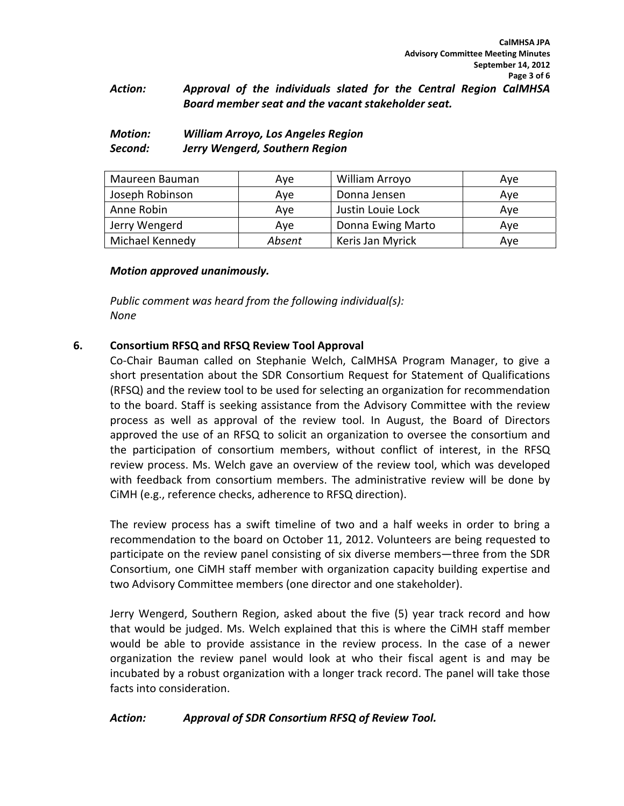# *Action: Approval of the individuals slated for the Central Region CalMHSA Board member seat and the vacant stakeholder seat.*

# *Motion: William Arroyo, Los Angeles Region Second: Jerry Wengerd, Southern Region*

| Maureen Bauman  | Ave    | William Arroyo    | Ave |
|-----------------|--------|-------------------|-----|
| Joseph Robinson | Ave    | Donna Jensen      | Ave |
| Anne Robin      | Ave    | Justin Louie Lock | Ave |
| Jerry Wengerd   | Ave    | Donna Ewing Marto | Ave |
| Michael Kennedy | Absent | Keris Jan Myrick  | Ave |

# *Motion approved unanimously.*

*Public comment was heard from the following individual(s): None*

# **6. Consortium RFSQ and RFSQ Review Tool Approval**

Co‐Chair Bauman called on Stephanie Welch, CalMHSA Program Manager, to give a short presentation about the SDR Consortium Request for Statement of Qualifications (RFSQ) and the review tool to be used for selecting an organization for recommendation to the board. Staff is seeking assistance from the Advisory Committee with the review process as well as approval of the review tool. In August, the Board of Directors approved the use of an RFSQ to solicit an organization to oversee the consortium and the participation of consortium members, without conflict of interest, in the RFSQ review process. Ms. Welch gave an overview of the review tool, which was developed with feedback from consortium members. The administrative review will be done by CiMH (e.g., reference checks, adherence to RFSQ direction).

The review process has a swift timeline of two and a half weeks in order to bring a recommendation to the board on October 11, 2012. Volunteers are being requested to participate on the review panel consisting of six diverse members—three from the SDR Consortium, one CiMH staff member with organization capacity building expertise and two Advisory Committee members (one director and one stakeholder).

Jerry Wengerd, Southern Region, asked about the five (5) year track record and how that would be judged. Ms. Welch explained that this is where the CiMH staff member would be able to provide assistance in the review process. In the case of a newer organization the review panel would look at who their fiscal agent is and may be incubated by a robust organization with a longer track record. The panel will take those facts into consideration.

# *Action: Approval of SDR Consortium RFSQ of Review Tool.*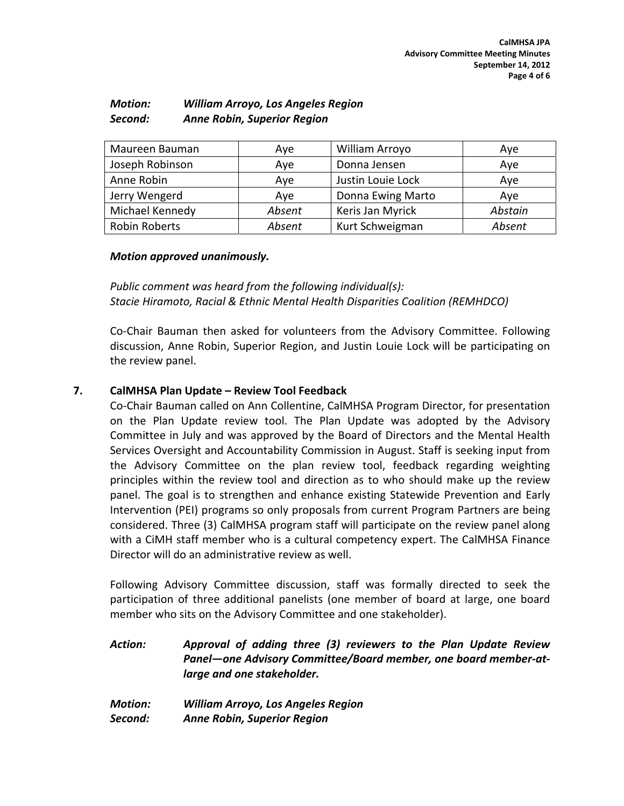| <b>Motion:</b> | <b>William Arroyo, Los Angeles Region</b> |
|----------------|-------------------------------------------|
| Second:        | <b>Anne Robin, Superior Region</b>        |

| Maureen Bauman       | Ave                 | William Arroyo    | Aye     |
|----------------------|---------------------|-------------------|---------|
| Joseph Robinson      | Donna Jensen<br>Aye |                   | Aye     |
| Anne Robin           | Aye                 | Justin Louie Lock | Aye     |
| Jerry Wengerd        | Ave                 | Donna Ewing Marto | Ave     |
| Michael Kennedy      | Absent              | Keris Jan Myrick  | Abstain |
| <b>Robin Roberts</b> | Absent              | Kurt Schweigman   | Absent  |

## *Motion approved unanimously.*

*Public comment was heard from the following individual(s): Stacie Hiramoto, Racial & Ethnic Mental Health Disparities Coalition (REMHDCO)*

Co‐Chair Bauman then asked for volunteers from the Advisory Committee. Following discussion, Anne Robin, Superior Region, and Justin Louie Lock will be participating on the review panel.

# **7. CalMHSA Plan Update – Review Tool Feedback**

Co‐Chair Bauman called on Ann Collentine, CalMHSA Program Director, for presentation on the Plan Update review tool. The Plan Update was adopted by the Advisory Committee in July and was approved by the Board of Directors and the Mental Health Services Oversight and Accountability Commission in August. Staff is seeking input from the Advisory Committee on the plan review tool, feedback regarding weighting principles within the review tool and direction as to who should make up the review panel. The goal is to strengthen and enhance existing Statewide Prevention and Early Intervention (PEI) programs so only proposals from current Program Partners are being considered. Three (3) CalMHSA program staff will participate on the review panel along with a CiMH staff member who is a cultural competency expert. The CalMHSA Finance Director will do an administrative review as well.

Following Advisory Committee discussion, staff was formally directed to seek the participation of three additional panelists (one member of board at large, one board member who sits on the Advisory Committee and one stakeholder).

*Action: Approval of adding three (3) reviewers to the Plan Update Review Panel—one Advisory Committee/Board member, one board member‐at‐ large and one stakeholder.*

*Motion: William Arroyo, Los Angeles Region Second: Anne Robin, Superior Region*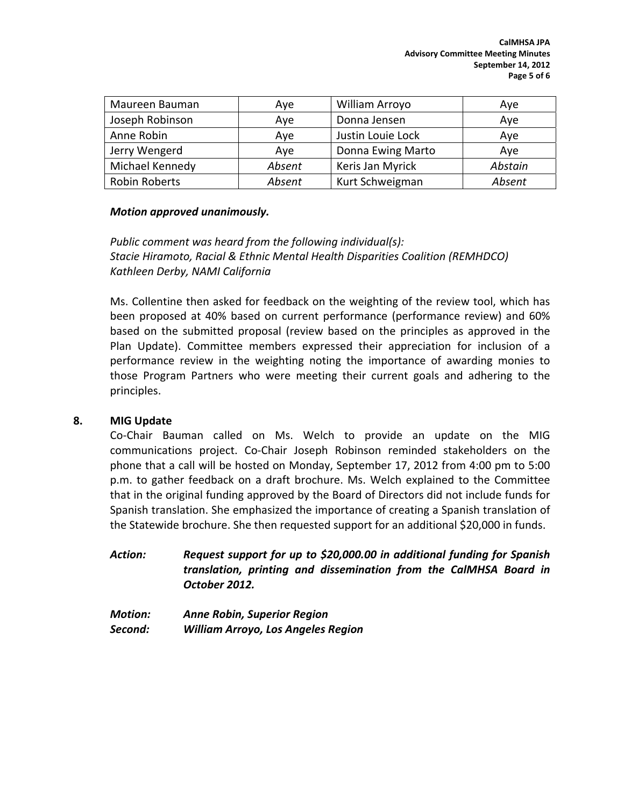| Maureen Bauman  | Ave    | William Arroyo    | Aye     |
|-----------------|--------|-------------------|---------|
| Joseph Robinson | Aye    | Donna Jensen      | Aye     |
| Anne Robin      | Aye    | Justin Louie Lock | Aye     |
| Jerry Wengerd   | Aye    | Donna Ewing Marto | Aye     |
| Michael Kennedy | Absent | Keris Jan Myrick  | Abstain |
| Robin Roberts   | Absent | Kurt Schweigman   | Absent  |

# *Motion approved unanimously.*

*Public comment was heard from the following individual(s): Stacie Hiramoto, Racial & Ethnic Mental Health Disparities Coalition (REMHDCO) Kathleen Derby, NAMI California*

Ms. Collentine then asked for feedback on the weighting of the review tool, which has been proposed at 40% based on current performance (performance review) and 60% based on the submitted proposal (review based on the principles as approved in the Plan Update). Committee members expressed their appreciation for inclusion of a performance review in the weighting noting the importance of awarding monies to those Program Partners who were meeting their current goals and adhering to the principles.

# **8. MIG Update**

Co‐Chair Bauman called on Ms. Welch to provide an update on the MIG communications project. Co‐Chair Joseph Robinson reminded stakeholders on the phone that a call will be hosted on Monday, September 17, 2012 from 4:00 pm to 5:00 p.m. to gather feedback on a draft brochure. Ms. Welch explained to the Committee that in the original funding approved by the Board of Directors did not include funds for Spanish translation. She emphasized the importance of creating a Spanish translation of the Statewide brochure. She then requested support for an additional \$20,000 in funds.

*Action: Request support for up to \$20,000.00 in additional funding for Spanish translation, printing and dissemination from the CalMHSA Board in October 2012.*

*Motion: Anne Robin, Superior Region Second: William Arroyo, Los Angeles Region*